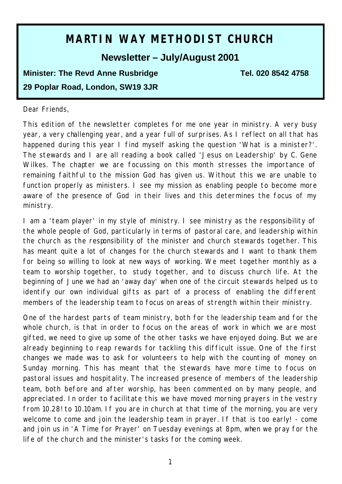# **MARTIN WAY METHODIST CHURCH**

## **Newsletter – July/August 2001**

## **Minister: The Revd Anne Rusbridge Tel. 020 8542 4758 29 Poplar Road, London, SW19 3JR**

#### Dear Friends,

This edition of the newsletter completes for me one year in ministry. A very busy year, a very challenging year, and a year full of surprises. As I reflect on all that has happened during this year I find myself asking the question 'What is a minister?'. The stewards and I are all reading a book called 'Jesus on Leadership' by C. Gene Wilkes. The chapter we are focussing on this month stresses the importance of remaining faithful to the mission God has given us. Without this we are unable to function properly as ministers. I see my mission as enabling people to become more aware of the presence of God in their lives and this determines the focus of my ministry.

I am a 'team player' in my style of ministry. I see ministry as the responsibility of the whole people of God, particularly in terms of pastoral care, and leadership within the church as the responsibility of the minister and church stewards together. This has meant quite a lot of changes for the church stewards and I want to thank them for being so willing to look at new ways of working. We meet together monthly as a team to worship together, to study together, and to discuss church life. At the beginning of June we had an 'away day' when one of the circuit stewards helped us to identify our own individual gifts as part of a process of enabling the different members of the leadership team to focus on areas of strength within their ministry.

One of the hardest parts of team ministry, both for the leadership team and for the whole church, is that in order to focus on the areas of work in which we are most gifted, we need to give up some of the other tasks we have enjoyed doing. But we are already beginning to reap rewards for tackling this difficult issue. One of the first changes we made was to ask for volunteers to help with the counting of money on Sunday morning. This has meant that the stewards have more time to focus on pastoral issues and hospitality. The increased presence of members of the leadership team, both before and after worship, has been commented on by many people, and appreciated. In order to facilitate this we have moved morning prayers in the vestry from 10.28! to 10.10am. If you are in church at that time of the morning, you are very welcome to come and join the leadership team in prayer. If that is too early! - come and join us in 'A Time for Prayer' on Tuesday evenings at 8pm, when we pray for the life of the church and the minister's tasks for the coming week.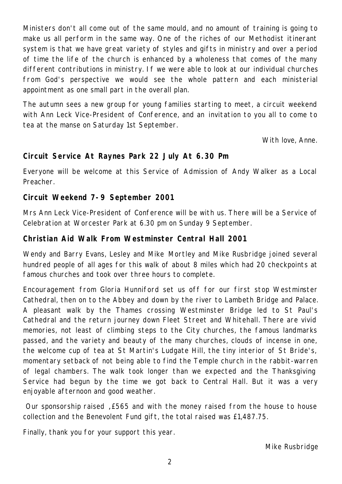Ministers don't all come out of the same mould, and no amount of training is going to make us all perform in the same way. One of the riches of our Methodist itinerant system is that we have great variety of styles and gifts in ministry and over a period of time the life of the church is enhanced by a wholeness that comes of the many different contributions in ministry. If we were able to look at our individual churches from God's perspective we would see the whole pattern and each ministerial appointment as one small part in the overall plan.

The autumn sees a new group for young families starting to meet, a circuit weekend with Ann Leck Vice-President of Conference, and an invitation to you all to come to tea at the manse on Saturday 1st September.

With love, Anne.

## **Circuit Service At Raynes Park 22 July At 6.30 Pm**

Everyone will be welcome at this Service of Admission of Andy Walker as a Local Preacher.

## **Circuit Weekend 7-9 September 2001**

Mrs Ann Leck Vice-President of Conference will be with us. There will be a Service of Celebration at Worcester Park at 6.30 pm on Sunday 9 September.

## **Christian Aid Walk From Westminster Central Hall 2001**

Wendy and Barry Evans, Lesley and Mike Mortley and Mike Rusbridge joined several hundred people of all ages for this walk of about 8 miles which had 20 checkpoints at famous churches and took over three hours to complete.

Encouragement from Gloria Hunniford set us off for our first stop Westminster Cathedral, then on to the Abbey and down by the river to Lambeth Bridge and Palace. A pleasant walk by the Thames crossing Westminster Bridge led to St Paul's Cathedral and the return journey down Fleet Street and Whitehall. There are vivid memories, not least of climbing steps to the City churches, the famous landmarks passed, and the variety and beauty of the many churches, clouds of incense in one, the welcome cup of tea at St Martin's Ludgate Hill, the tiny interior of St Bride's, momentary setback of not being able to find the Temple church in the rabbit-warren of legal chambers. The walk took longer than we expected and the Thanksgiving Service had begun by the time we got back to Central Hall. But it was a very enjoyable afternoon and good weather.

 Our sponsorship raised , £565 and with the money raised from the house to house collection and the Benevolent Fund gift, the total raised was £1,487.75.

Finally, thank you for your support this year.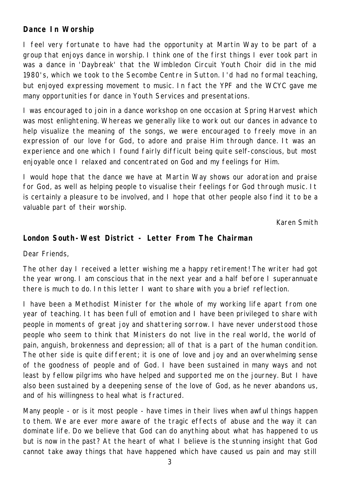## **Dance In Worship**

I feel very fortunate to have had the opportunity at Martin Way to be part of a group that enjoys dance in worship. I think one of the first things I ever took part in was a dance in 'Daybreak' that the Wimbledon Circuit Youth Choir did in the mid 1980's, which we took to the Secombe Centre in Sutton. I'd had no formal teaching, but enjoyed expressing movement to music. In fact the YPF and the WCYC gave me many opportunities for dance in Youth Services and presentations.

I was encouraged to join in a dance workshop on one occasion at Spring Harvest which was most enlightening. Whereas we generally like to work out our dances in advance to help visualize the meaning of the songs, we were encouraged to freely move in an expression of our love for God, to adore and praise Him through dance. It was an experience and one which I found fairly difficult being quite self-conscious, but most enjoyable once I relaxed and concentrated on God and my feelings for Him.

I would hope that the dance we have at Martin Way shows our adoration and praise for God, as well as helping people to visualise their feelings for God through music. It is certainly a pleasure to be involved, and I hope that other people also find it to be a valuable part of their worship.

Karen Smith

## **London South-West District - Letter From The Chairman**

Dear Friends,

The other day I received a letter wishing me a happy retirement! The writer had got the year wrong. I am conscious that in the next year and a half before I superannuate there is much to do. In this letter I want to share with you a brief reflection.

I have been a Methodist Minister for the whole of my working life apart from one year of teaching. It has been full of emotion and I have been privileged to share with people in moments of great joy and shattering sorrow. I have never understood those people who seem to think that Ministers do not live in the real world, the world of pain, anguish, brokenness and depression; all of that is a part of the human condition. The other side is quite different; it is one of love and joy and an overwhelming sense of the goodness of people and of God. I have been sustained in many ways and not least by fellow pilgrims who have helped and supported me on the journey. But I have also been sustained by a deepening sense of the love of God, as he never abandons us, and of his willingness to heal what is fractured.

Many people - or is it most people - have times in their lives when awful things happen to them. We are ever more aware of the tragic effects of abuse and the way it can dominate life. Do we believe that God can do anything about what has happened to us but is now in the past? At the heart of what I believe is the stunning insight that God cannot take away things that have happened which have caused us pain and may still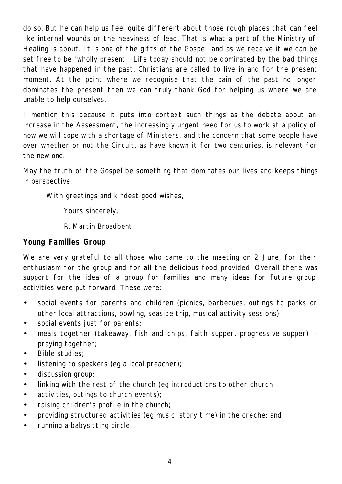do so. But he can help us feel quite different about those rough places that can feel like internal wounds or the heaviness of lead. That is what a part of the Ministry of Healing is about. It is one of the gifts of the Gospel, and as we receive it we can be set free to be 'wholly present'. Life today should not be dominated by the bad things that have happened in the past. Christians are called to live in and for the present moment. At the point where we recognise that the pain of the past no longer dominates the present then we can truly thank God for helping us where we are unable to help ourselves.

I mention this because it puts into context such things as the debate about an increase in the Assessment, the increasingly urgent need for us to work at a policy of how we will cope with a shortage of Ministers, and the concern that some people have over whether or not the Circuit, as have known it for two centuries, is relevant for the new one.

May the truth of the Gospel be something that dominates our lives and keeps things in perspective.

With greetings and kindest good wishes,

Yours sincerely,

R. Martin Broadbent

## **Young Families Group**

We are very grateful to all those who came to the meeting on 2 June, for their enthusiasm for the group and for all the delicious food provided. Overall there was support for the idea of a group for families and many ideas for future group activities were put forward. These were:

- social events for parents and children (picnics, barbecues, outings to parks or other local attractions, bowling, seaside trip, musical activity sessions)
- social events just for parents;
- meals together (takeaway, fish and chips, faith supper, progressive supper) praying together;
- Bible studies;
- listening to speakers (eg a local preacher);
- discussion group;
- linking with the rest of the church (eg introductions to other church
- activities, outings to church events);
- raising children's profile in the church;
- providing structured activities (eg music, story time) in the crèche; and
- running a babysitting circle.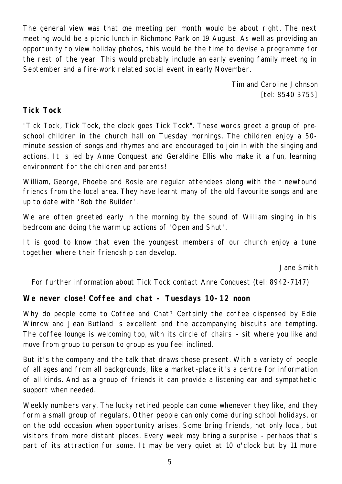The general view was that one meeting per month would be about right. The next meeting would be a picnic lunch in Richmond Park on 19 August. As well as providing an opportunity to view holiday photos, this would be the time to devise a programme for the rest of the year. This would probably include an early evening family meeting in September and a fire-work related social event in early November.

> Tim and Caroline Johnson [tel: 8540 3755]

#### **Tick Tock**

"Tick Tock, Tick Tock, the clock goes Tick Tock". These words greet a group of preschool children in the church hall on Tuesday mornings. The children enjoy a 50 minute session of songs and rhymes and are encouraged to join in with the singing and actions. It is led by Anne Conquest and Geraldine Ellis who make it a fun, learning environment for the children and parents!

William, George, Phoebe and Rosie are regular attendees along with their newfound friends from the local area. They have learnt many of the old favourite songs and are up to date with 'Bob the Builder'.

We are often greeted early in the morning by the sound of William singing in his bedroom and doing the warm up actions of 'Open and Shut'.

It is good to know that even the youngest members of our church enjoy a tune together where their friendship can develop.

Jane Smith

For further information about Tick Tock contact Anne Conquest (tel: 8942-7147)

#### **We never close! Coffee and chat - Tuesdays 10-12 noon**

Why do people come to Coffee and Chat? Certainly the coffee dispensed by Edie Winrow and Jean Butland is excellent and the accompanying biscuits are tempting. The coffee lounge is welcoming too, with its circle of chairs - sit where you like and move from group to person to group as you feel inclined.

But it's the company and the talk that draws those present. With a variety of people of all ages and from all backgrounds, like a market-place it's a centre for information of all kinds. And as a group of friends it can provide a listening ear and sympathetic support when needed.

Weekly numbers vary. The lucky retired people can come whenever they like, and they form a small group of regulars. Other people can only come during school holidays, or on the odd occasion when opportunity arises. Some bring friends, not only local, but visitors from more distant places. Every week may bring a surprise - perhaps that's part of its attraction for some. It may be very quiet at 10 o'clock but by 11 more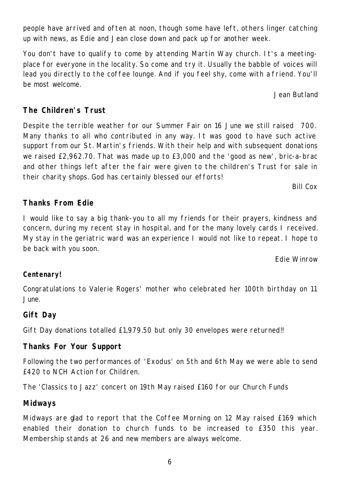6

people have arrived and often at noon, though some have left, others linger catching up with news, as Edie and Jean close down and pack up for another week.

You don't have to qualify to come by attending Martin Way church. It's a meetingplace for everyone in the locality. So come and try it. Usually the babble of voices will lead you directly to the coffee lounge. And if you feel shy, come with a friend. You'll be most welcome.

Jean Butland

## **The Children's Trust**

Despite the terrible weather for our Summer Fair on 16 June we still raised 700. Many thanks to all who contributed in any way. It was good to have such active support from our St. Martin's friends. With their help and with subsequent donations we raised £2,962.70. That was made up to £3,000 and the 'good as new', bric-a-brac and other things left after the fair were given to the children's Trust for sale in their charity shops. God has certainly blessed our efforts!

Bill Cox

## **Thanks From Edie**

I would like to say a big thank-you to all my friends for their prayers, kindness and concern, during my recent stay in hospital, and for the many lovely cards I received. My stay in the geriatric ward was an experience I would not like to repeat. I hope to be back with you soon.

Edie Winrow

## **Centenary!**

Congratulations to Valerie Rogers' mother who celebrated her 100th birthday on 11 June.

## **Gift Day**

Gift Day donations totalled £1,979.50 but only 30 envelopes were returned!!

## **Thanks For Your Support**

Following the two performances of 'Exodus' on 5th and 6th May we were able to send £420 to NCH Action for Children.

The 'Classics to Jazz' concert on 19th May raised £160 for our Church Funds

## **Midways**

Midways are glad to report that the Coffee Morning on 12 May raised £169 which enabled their donation to church funds to be increased to £350 this year. Membership stands at 26 and new members are always welcome.